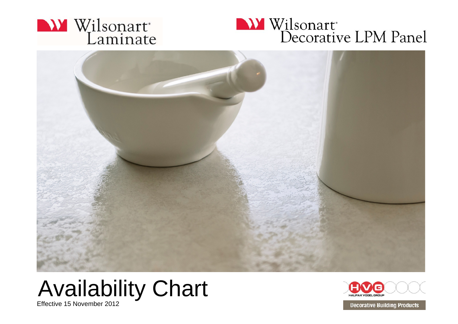





## Availability Chart

Effective 15 November 2012



**Decorative Building Products**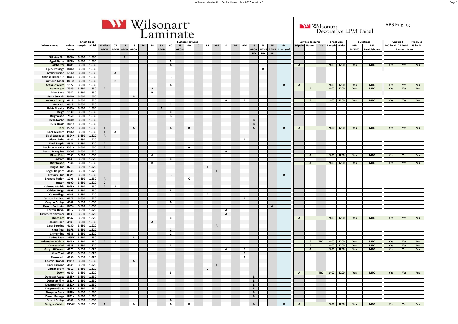|                                                               |                |                    |                              |              |                       |                | <b>NY</b> Wilsonart |              | Laminate     |              |             |                         |              |              |              |    |           |              |                             |    |              |                                |              |                         |            |                   |              | <b>NY</b> Wilsonart<br>Decorative LPM Panel |               | <b>ABS</b> Edging  |            |          |
|---------------------------------------------------------------|----------------|--------------------|------------------------------|--------------|-----------------------|----------------|---------------------|--------------|--------------|--------------|-------------|-------------------------|--------------|--------------|--------------|----|-----------|--------------|-----------------------------|----|--------------|--------------------------------|--------------|-------------------------|------------|-------------------|--------------|---------------------------------------------|---------------|--------------------|------------|----------|
|                                                               |                | <b>Sheet Sizes</b> |                              |              |                       |                |                     |              |              |              |             | <b>Surface Textures</b> |              |              |              |    |           |              |                             |    |              |                                |              | <b>Surface Textures</b> |            | <b>Sheet Size</b> |              |                                             | Substrate     |                    | Unglued    | Preglued |
| <b>Colour Names</b><br>Colour                                 |                | Length Width       | 01 Gloss                     | 07           | 12                    | 18             | 20                  | 38           | 52           | 60           | 78          | 90                      | $\mathbf{c}$ | M            | <b>NM</b>    | s. | <b>WL</b> | <b>WM</b>    | 35                          | 45 | 55           | 60                             |              | Stipple Natura          | Glis       |                   | Length Width | MR                                          | MR            | 100 lin M 25 lin M |            | 25 lin M |
| Codes                                                         |                |                    | <b>AEON</b>                  |              | <b>AEON AEON AEON</b> |                |                     |              | <b>AEON</b>  |              | <b>AEON</b> |                         |              |              |              |    |           |              | HD                          | HD | HD           | <b>AEON AEON AEON Chemsurf</b> |              |                         |            |                   |              | <b>MDFE0</b>                                | Particleboard |                    | 23mm x 1mm |          |
| 7966K<br>5th Ave Elm                                          | 3.660          | 1.530              |                              |              | $\overline{A}$        |                |                     |              |              |              |             |                         |              |              |              |    |           |              |                             |    |              |                                |              |                         |            |                   |              |                                             |               |                    |            |          |
| 1868K<br><b>Aged Piazza</b>                                   | 3.660          | 1.530              |                              |              |                       |                |                     |              |              | $\mathbf{A}$ |             |                         |              |              |              |    |           |              |                             |    |              |                                |              |                         |            |                   |              |                                             |               |                    |            |          |
| Alabaster<br>D431                                             | 3.660          | 1.530              |                              |              |                       |                |                     |              |              | $\mathbf{A}$ |             |                         |              |              |              |    |           |              |                             |    |              |                                | A            |                         |            | 2400              | 1200         | Yes                                         | <b>MTO</b>    | Yes                | Yes        | Yes      |
| 1844K<br><b>Alpine Passage</b>                                | 3.660          | 1.530              |                              |              |                       |                |                     |              |              |              |             |                         |              |              |              |    |           |              |                             | В  |              |                                |              |                         |            |                   |              |                                             |               |                    |            |          |
| 1794K<br><b>Amber Fusion</b><br>D493                          | 3.660<br>3.660 | 1.530<br>1.530     |                              | $\mathbf{A}$ |                       |                |                     |              |              | В            |             |                         |              |              |              |    |           |              |                             |    |              |                                |              |                         |            |                   |              |                                             |               |                    |            |          |
| <b>Antique Bronze LS</b><br><b>Antique Topaz</b><br>4863K     | 3.660          | 1.530              |                              | B            |                       |                |                     |              |              |              |             |                         |              |              |              |    |           |              |                             |    |              |                                |              |                         |            |                   |              |                                             |               |                    |            |          |
| <b>Antique White</b><br>1572                                  | 3.660          | 1.530              |                              |              |                       |                |                     |              |              | $\mathbf{A}$ |             |                         |              |              |              |    |           |              |                             |    |              | B                              | A            |                         |            | 2400              | 1200         | Yes                                         | <b>MTO</b>    | Yes                | Yes        | Yes      |
| 7949<br><b>Asian Night</b>                                    | 3.660          | 1.530              | A                            |              |                       |                |                     | A            |              |              |             |                         |              |              |              |    |           |              |                             |    |              |                                |              | $\mathbf{A}$            |            | 2400              | 1200         | Yes                                         | <b>MTO</b>    | Yes                | Yes        | Yes      |
| 7952<br><b>Asian Sand</b>                                     | 3.660          | 1.530              |                              |              |                       |                |                     | В            |              |              |             |                         |              |              |              |    |           |              |                             |    |              |                                |              |                         |            |                   |              |                                             |               |                    |            |          |
| 4940K<br><b>Astro Strandz</b>                                 | 3.660          | 1.530<br>1.320     |                              |              |                       | $\overline{A}$ |                     |              |              |              |             |                         |              |              |              |    |           | B            |                             |    |              |                                |              |                         |            | 2400              | 1200         |                                             |               |                    |            |          |
| <b>Atlanta Cherry</b><br>4128<br>0618<br>Avocado              | 3.650<br>3.650 | 1.320              |                              |              |                       |                |                     |              |              | $\mathsf{c}$ |             |                         |              |              |              | А  |           |              |                             |    |              |                                |              | $\mathbf{A}$            |            |                   |              | Yes                                         | <b>MTO</b>    | Yes                | Yes        | Yes      |
| <b>Bahia Granite</b><br>4595K                                 | 3.660          | 1.530              |                              |              |                       |                |                     |              | $\mathbf{A}$ |              |             |                         |              |              |              |    |           |              |                             |    |              |                                |              |                         |            |                   |              |                                             |               |                    |            |          |
| 1530<br><b>Beige</b>                                          | 3.660          | 1.530              |                              |              |                       |                |                     |              |              | C            |             |                         |              |              |              |    |           |              |                             |    |              |                                |              |                         |            |                   |              |                                             |               |                    |            |          |
| 7850<br>Beigewood                                             | 3.660          | 1.530              |                              |              |                       |                |                     |              |              | B            |             |                         |              |              |              |    |           |              |                             |    |              |                                |              |                         |            |                   |              |                                             |               |                    |            |          |
| Bella Noche 1820K                                             | 3.660          | 1.530              |                              |              |                       |                |                     |              |              |              |             |                         |              |              |              |    |           |              | B                           |    |              |                                |              |                         |            |                   |              |                                             |               |                    |            |          |
| <b>Bella Reale</b><br>1821K<br>1595K<br><b>Black</b>          | 3.660<br>3.660 | 1.530<br>1.530     | $\mathbf{A}$                 |              |                       | A              |                     |              |              | $\mathbf{A}$ |             | B                       |              |              |              |    |           |              | $\mathbf{B}$<br>$\mathbf A$ |    |              | В                              | $\mathbf{A}$ |                         |            | 2400              | 1200         | Yes                                         | <b>MTO</b>    | Yes                | Yes        | Yes      |
| <b>Black Alicante</b><br>4926K                                | 3.660          | 1.530              | $\mathbf{A}$                 | A            |                       |                |                     |              |              |              |             |                         |              |              |              |    |           |              |                             |    |              |                                |              |                         |            |                   |              |                                             |               |                    |            |          |
| <b>Black Labrador</b><br>3394K                                | 3.650          | 1.320              | $\, {\bf A}$                 |              |                       |                |                     |              |              |              |             |                         |              |              |              |    |           |              |                             |    |              |                                |              |                         |            |                   |              |                                             |               |                    |            |          |
| <b>Black Limba</b><br>4121                                    | 3.650          | 1.220              |                              |              |                       |                |                     |              |              |              |             |                         |              |              |              |    |           | A            |                             |    |              |                                |              |                         |            |                   |              |                                             |               |                    |            |          |
| <b>Black Scopia</b><br>4556                                   | 3.650          | 1.320              | $\mathbf{A}$                 |              |                       |                |                     |              |              |              |             |                         |              |              |              |    |           |              |                             |    |              |                                |              |                         |            |                   |              |                                             |               |                    |            |          |
| 4551K<br><b>Blackstar Granite</b>                             | 3.660          | 1.530              | $\, {\bf A}$                 |              |                       |                |                     |              |              |              |             | A                       |              |              |              |    |           |              |                             |    |              |                                |              |                         |            |                   |              |                                             |               |                    |            |          |
| 13063<br><b>Blanco Marquina</b><br>7939<br><b>Blond Echo</b>  | 3.650<br>3.660 | 1.320<br>1.530     |                              |              |                       |                |                     | A            |              |              |             |                         |              |              |              | A  |           |              |                             |    |              |                                |              | $\mathbf{A}$            |            | 2400              | 1200         | Yes                                         | <b>MTO</b>    | Yes                | Yes        | Yes      |
| <b>Blossom</b><br>0633                                        | 3.650          | 1.320              |                              |              |                       |                |                     |              |              | $\mathsf{C}$ |             |                         |              |              |              |    |           |              |                             |    |              |                                |              |                         |            |                   |              |                                             |               |                    |            |          |
| <b>Brazilwood</b><br>7946                                     | 3.660          | 1.530              |                              |              |                       |                |                     | в            |              |              |             |                         |              |              |              |    |           |              |                             |    |              |                                |              | $\mathbf{A}$            |            | 2400              | 1200         | Yes                                         | <b>MTO</b>    | Yes                | Yes        | Yes      |
| <b>Bright Blue</b><br>0713                                    | 3.650          | 1.220              |                              |              |                       |                |                     |              |              |              |             |                         |              | A            |              |    |           |              |                             |    |              |                                |              |                         |            |                   |              |                                             |               |                    |            |          |
| <b>Bright Delphes</b><br>4148                                 | 3.650          | 1.220              |                              |              |                       |                |                     |              |              |              |             |                         |              |              | $\mathbf{A}$ |    |           |              |                             |    |              |                                |              |                         |            |                   |              |                                             |               |                    |            |          |
| D321<br><b>Brittany Blue</b><br><b>Bronzed Fusion</b><br>1796 | 3.660<br>3.660 | 1.530<br>1.530     |                              |              |                       |                |                     |              |              | $\mathbf B$  |             | c                       |              |              |              |    |           |              |                             |    |              | В                              |              |                         |            |                   |              |                                             |               |                    |            |          |
| <b>Button</b><br>0600                                         | 3.650          | 1.320              | $\, {\bf A}$<br>$\mathsf{c}$ |              |                       |                |                     |              |              |              |             |                         |              |              |              |    |           |              |                             |    |              |                                |              |                         |            |                   |              |                                             |               |                    |            |          |
| <b>Calcutta Marble</b><br>4925K                               | 3.660          | 1.530              | $\, {\bf A}$                 | А            |                       |                |                     |              |              |              |             |                         |              |              |              |    |           |              |                             |    |              |                                |              |                         |            |                   |              |                                             |               |                    |            |          |
| 4608<br><b>Caldera Beige</b>                                  | 3.660          | 1.530              |                              |              |                       |                |                     |              |              | B            |             |                         |              |              |              |    |           |              |                             |    |              |                                |              |                         |            |                   |              |                                             |               |                    |            |          |
| 0035<br>Camouflage                                            | 3.650          | 1.220              |                              |              |                       |                |                     |              |              |              |             |                         |              | A            |              |    |           |              |                             |    |              |                                |              |                         |            |                   |              |                                             |               |                    |            |          |
| Canyon Bamboo<br>4277                                         | 3.650          | 1.320<br>1.530     |                              |              |                       |                |                     |              |              |              |             |                         |              |              |              |    |           | $\mathbf{A}$ |                             |    |              |                                |              |                         |            |                   |              |                                             |               |                    |            |          |
| 4842<br><b>Canyon Zephyr</b><br>1855K<br>Carrara Santorini    | 3.660<br>3.660 | 1.530              |                              |              |                       |                |                     |              |              | $\mathbf{A}$ |             |                         |              |              |              |    |           |              |                             |    | $\mathbf{A}$ |                                |              |                         |            |                   |              |                                             |               |                    |            |          |
| 8117<br>Carrera Royal                                         | 3.650          | 1.220              |                              |              |                       |                |                     |              |              |              |             |                         |              |              |              | A  |           |              |                             |    |              |                                |              |                         |            |                   |              |                                             |               |                    |            |          |
| 8133<br><b>Cashmere Shimmer</b>                               | 3.650          | 1.220              |                              |              |                       |                |                     |              |              |              |             |                         |              |              |              | Α  |           |              |                             |    |              |                                |              |                         |            |                   |              |                                             |               |                    |            |          |
| Chocolate<br>0547                                             | 3.650          | 1.320              |                              |              |                       |                |                     |              |              | $\mathsf{c}$ |             |                         |              |              |              |    |           |              |                             |    |              |                                | $\mathbf{A}$ |                         |            | 2400              | 1200         | Yes                                         | <b>MTO</b>    | Yes                | Yes        | Yes      |
| <b>Classic Linen</b><br>4943                                  | 3.660          | 1.530              |                              |              |                       |                |                     | $\mathbf{A}$ |              |              |             |                         |              |              |              |    |           |              |                             |    |              |                                |              |                         |            |                   |              |                                             |               |                    |            |          |
| <b>Clear Euroline</b><br>4140<br>D378<br><b>Clear Teal</b>    | 3.650<br>3.650 | 1.220<br>1.320     |                              |              |                       |                |                     |              |              | C            |             |                         |              |              | $\mathbf{A}$ |    |           |              |                             |    |              |                                |              |                         |            |                   |              |                                             |               |                    |            |          |
| Clementine<br>0336                                            | 3.650          | 1.320              |                              |              |                       |                |                     |              |              | c            |             |                         |              |              |              |    |           |              |                             |    |              |                                |              |                         |            |                   |              |                                             |               |                    |            |          |
| <b>Coffee Bean</b><br>D495K                                   | 3.660          | 1.530              |                              |              |                       | A              |                     |              |              |              |             |                         |              |              |              |    |           |              |                             |    |              |                                |              |                         |            |                   |              |                                             |               |                    |            |          |
| <b>Colombian Walnut</b><br>7943K                              | 3.660          | 1.530              | $\mathbf{A}$                 | A            |                       |                |                     |              |              |              |             |                         |              |              |              |    |           |              |                             |    |              |                                |              | $\mathbf{A}$            | <b>TBC</b> | 2400              | 1200         | Yes                                         | <b>MTO</b>    | Yes                | Yes        | Yes      |
| <b>Concept Oak</b><br>4388                                    | 3.650          | 1.320              |                              |              |                       |                |                     |              |              | $\mathsf{A}$ |             |                         |              |              |              |    |           |              |                             |    |              |                                |              | $\mathbf{A}$            |            | 2400              | 1200         | Yes                                         | <b>MTO</b>    | Yes                | Yes        | Yes      |
| 4179<br>Congratti Wood<br><b>Cool Teak</b><br>4103            | 3.650<br>3.650 | 1.320<br>1.320     |                              |              |                       |                |                     |              |              |              |             |                         |              |              |              | A  |           | В<br>в       |                             |    |              |                                |              | $\mathbf{A}$            |            | 2400              | 1200         | Yes                                         | <b>MTO</b>    | Yes                | Yes        | Yes      |
| Corcovado<br>4158                                             | 3.650          | 1.220              |                              |              |                       |                |                     |              |              |              |             |                         |              |              |              |    |           | $\mathbf{A}$ |                             |    |              |                                |              |                         |            |                   |              |                                             |               |                    |            |          |
| Cosmic Strandz 4941K 3.660 1.530                              |                |                    |                              |              |                       | A              |                     |              |              |              |             |                         |              |              |              |    |           |              |                             |    |              |                                |              |                         |            |                   |              |                                             |               |                    |            |          |
| Dark Euroline 4145 3.650 1.220                                |                |                    |                              |              |                       |                |                     |              |              |              |             |                         |              |              | $\mathbf{A}$ |    |           |              |                             |    |              |                                |              |                         |            |                   |              |                                             |               |                    |            |          |
| Darkar Bright 4112 3.650 1.320                                |                |                    |                              |              |                       |                |                     |              |              |              |             |                         |              | $\mathsf{C}$ |              |    |           |              |                             |    |              |                                |              |                         |            |                   |              |                                             |               |                    |            |          |
| Dawn<br>0140                                                  |                | 3.650 1.320        |                              |              |                       |                |                     |              |              | B            |             |                         |              |              |              |    |           |              |                             |    |              |                                | $\mathbf{A}$ |                         |            | TBC 2400 1200     |              | Yes                                         | <b>MTO</b>    | Yes                | Yes        | Yes      |
| Deepstar Agate 1815K<br>Deepstar Flint 1811K                  | 3.660<br>3.660 | 1.530<br>1.530     |                              |              |                       |                |                     |              |              |              |             |                         |              |              |              |    |           |              | B<br>$\mathbf{B}$           |    |              |                                |              |                         |            |                   |              |                                             |               |                    |            |          |
| Deepstar Fossil 1812K                                         | 3.660          | 1.530              |                              |              |                       |                |                     |              |              |              |             |                         |              |              |              |    |           |              | $\mathbf{B}$                |    |              |                                |              |                         |            |                   |              |                                             |               |                    |            |          |
| Deepstar Glaze 1813K                                          | 3.660          | 1.530              |                              |              |                       |                |                     |              |              |              |             |                         |              |              |              |    |           |              | $\mathbf{B}$                |    |              |                                |              |                         |            |                   |              |                                             |               |                    |            |          |
| Deepstar Slate 1818K                                          | 3.660          | 1.530              |                              |              |                       |                |                     |              |              |              |             |                         |              |              |              |    |           |              | $\mathbf{A}$                |    |              |                                |              |                         |            |                   |              |                                             |               |                    |            |          |
| Desert Passage 1841K<br>Desert Zephyr 4841                    | 3.660          | 1.530<br>1.530     |                              |              |                       |                |                     |              |              | $\mathsf{A}$ |             |                         |              |              |              |    |           |              | $\mathsf{A}$                |    |              |                                |              |                         |            |                   |              |                                             |               |                    |            |          |
| Designer White D354K 3.660 1.530                              | 3.660          |                    | A                            |              |                       | $\mathbf{A}$   |                     |              |              | $\mathbf{A}$ |             | $\mathbf{B}$            |              |              |              |    |           |              | $\mathbf{A}$                |    |              | B                              | $\mathbf{A}$ |                         |            |                   | 2400 1200    | Yes                                         | <b>MTO</b>    | <b>Yes</b>         | Yes        | Yes      |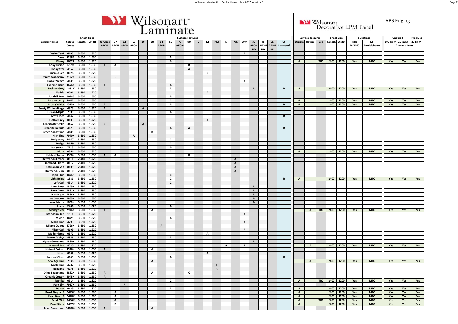|                                                     |                      |                           |                             |                                |                   |              |                             | Wilsonart <sup>®</sup> |              |                   | Laminate          |                   |                               |              |              |              |                |                              |                |                              |    |                   |                |                              |                                           |            |                                   |      | Wilsonart<br>Decorative LPM Panel |                                         | <b>ABS Edging</b>             |            |                      |
|-----------------------------------------------------|----------------------|---------------------------|-----------------------------|--------------------------------|-------------------|--------------|-----------------------------|------------------------|--------------|-------------------|-------------------|-------------------|-------------------------------|--------------|--------------|--------------|----------------|------------------------------|----------------|------------------------------|----|-------------------|----------------|------------------------------|-------------------------------------------|------------|-----------------------------------|------|-----------------------------------|-----------------------------------------|-------------------------------|------------|----------------------|
| <b>Colour Names</b>                                 | Colour<br>Codes      | Length                    | <b>Sheet Sizes</b><br>Width | 01 Gloss<br><b>AEON</b>        | 07                | 12           | 18<br><b>AEON AEON AEON</b> | 20                     | 38           | 52<br><b>AEON</b> | 60                | 78<br><b>AEON</b> | <b>Surface Textures</b><br>90 | $\mathsf{C}$ | M            | <b>NM</b>    | $\mathsf{s}$   | <b>WL</b>                    | WM             | 35<br><b>AEON AEON</b>       | 45 | 55<br><b>AEON</b> | 60<br>Chemsurf |                              | <b>Surface Textures</b><br>Stipple Natura | Glis       | <b>Sheet Size</b><br>Length Width |      | <b>MR</b><br>MDF E0               | Substrate<br><b>MR</b><br>Particleboard | Unglued<br>100 lin M 25 lin M | 23mm x 1mm | Preglued<br>25 lin M |
|                                                     |                      |                           |                             |                                |                   |              |                             |                        |              |                   |                   |                   |                               |              |              |              |                |                              |                | HD                           | HD | HD                |                |                              |                                           |            |                                   |      |                                   |                                         |                               |            |                      |
| <b>Desire Teak</b>                                  | 4105<br><b>S2885</b> | 3.650                     | 1.320                       |                                |                   |              |                             |                        |              |                   |                   |                   |                               |              |              |              |                |                              | В              |                              |    |                   |                |                              |                                           |            |                                   |      |                                   |                                         |                               |            |                      |
| Dune<br>Ebony                                       | 10622                | 3.660<br>3.650            | 1.530<br>1.320              |                                |                   |              |                             |                        |              |                   | A<br>В            |                   |                               |              |              |              |                |                              |                |                              |    |                   |                | $\, {\bf A}$                 |                                           | <b>TBC</b> | 2400                              | 1200 | Yes                               | <b>MTO</b>                              | Yes                           | Yes        | Yes                  |
| <b>Ebony Fusion</b>                                 | 1799K                | 3.660                     | 1.530                       | $\mathbf{A}$                   | А                 |              |                             |                        |              |                   |                   |                   | В                             |              |              |              |                |                              |                |                              |    |                   |                |                              |                                           |            |                                   |      |                                   |                                         |                               |            |                      |
| <b>Ebony Star</b><br><b>Emerald Sea</b>             | 4552                 | 3.660                     | 1.530<br>1.320              |                                |                   |              |                             |                        |              |                   |                   |                   | $\mathbf{A}$                  |              | $\mathsf{c}$ |              |                |                              |                |                              |    |                   |                |                              |                                           |            |                                   |      |                                   |                                         |                               |            |                      |
| <b>Empire Mahogany</b>                              | 0028<br>7122K        | 3.650<br>3.660            | 1.530                       |                                | C                 |              |                             |                        |              |                   |                   |                   |                               |              |              |              |                |                              |                |                              |    |                   |                |                              |                                           |            |                                   |      |                                   |                                         |                               |            |                      |
| <b>Erable Wenge</b>                                 | 4185                 | 3.650                     | 1.320                       |                                |                   |              |                             |                        |              |                   |                   |                   |                               |              |              |              |                |                              | $\mathbf{A}$   |                              |    |                   |                |                              |                                           |            |                                   |      |                                   |                                         |                               |            |                      |
| <b>Evening Tigris</b>                               | 4674K                | 3.660                     | 1.530                       | $\mathbf{A}$                   |                   |              |                             |                        |              |                   | $\mathbf{A}$      |                   |                               |              |              |              |                |                              |                |                              |    |                   |                |                              |                                           |            |                                   |      |                                   |                                         |                               |            |                      |
| <b>Fashion Grey</b><br>Florida                      | <b>D381K</b><br>0001 | 3.660<br>3.650            | 1.530<br>1.220              |                                |                   |              |                             |                        |              |                   | A                 |                   |                               |              | $\mathbf{A}$ |              |                |                              |                | $\mathbf{A}$                 |    |                   | B              | $\mathbf{A}$                 |                                           |            | 2400 1200                         |      | Yes                               | <b>MTO</b>                              | Yes                           | Yes        | Yes                  |
| <b>Fonthill Pear</b>                                | 10745                | 3.660                     | 1.530                       |                                |                   |              |                             |                        |              |                   | A                 |                   |                               |              |              |              |                |                              |                |                              |    |                   |                |                              |                                           |            |                                   |      |                                   |                                         |                               |            |                      |
| Fortuneberry                                        | D412                 | 3.660                     | 1.530                       |                                |                   |              |                             |                        |              |                   | $\mathsf{c}$      |                   |                               |              |              |              |                |                              |                |                              |    |                   |                | $\boldsymbol{\mathsf{A}}$    |                                           |            | 2400                              | 1200 | Yes                               | <b>MTO</b>                              | Yes                           | Yes        | Yes                  |
| <b>Frosty White</b><br><b>Frosty White Mirage</b>   | 1573K<br>4873        | 3.660<br>3.650            | 1.530<br>1.320              | $\mathbf{A}$<br>$\overline{A}$ |                   |              |                             | $\overline{A}$         |              |                   | $\mathbf{A}$      |                   |                               |              |              |              |                |                              |                |                              |    |                   | В              | $\, {\bf A}$                 |                                           |            | 2400 1200                         |      | Yes                               | <b>MTO</b>                              | Yes                           | Yes        | Yes                  |
| <b>Fusion Maple</b>                                 | 7909                 | 3.660                     | 1.530                       |                                |                   |              |                             |                        |              |                   | $\mathbf{A}$      |                   |                               |              |              |              |                |                              |                |                              |    |                   |                |                              |                                           |            |                                   |      |                                   |                                         |                               |            |                      |
| <b>Grey Glace</b>                                   | 4142                 | 3.660                     | 1.530                       |                                |                   |              |                             |                        |              |                   |                   |                   |                               |              |              |              |                |                              |                |                              |    |                   | B              |                              |                                           |            |                                   |      |                                   |                                         |                               |            |                      |
| <b>Gothic Grey</b>                                  | 0103                 | 3.650                     | 1.220                       |                                |                   |              |                             |                        |              |                   |                   |                   |                               |              | A            |              |                |                              |                |                              |    |                   |                |                              |                                           |            |                                   |      |                                   |                                         |                               |            |                      |
| <b>Granito Boticello</b><br><b>Graphite Nebula</b>  | 3457<br>4623         | 3.650<br>3.660            | 1.320<br>1.530              | $\mathsf{C}$                   |                   |              |                             | $\,$ A                 |              |                   | $\mathbf{A}$      |                   | A                             |              |              |              |                |                              |                |                              |    |                   | В              |                              |                                           |            |                                   |      |                                   |                                         |                               |            |                      |
| <b>Green Soapstone</b>                              | 4885                 | 3.660                     | 1.530                       |                                |                   |              |                             |                        | в            |                   |                   |                   |                               |              |              |              |                |                              |                |                              |    |                   |                |                              |                                           |            |                                   |      |                                   |                                         |                               |            |                      |
| <b>High Line</b>                                    | 7970K                | 3.660                     | 1.530                       |                                |                   |              | A                           |                        |              |                   |                   |                   |                               |              |              |              |                |                              |                |                              |    |                   |                |                              |                                           |            |                                   |      |                                   |                                         |                               |            |                      |
| Hollyberry<br>Indigo                                | D307<br>D379         | 3.660<br>3.660            | 1.530<br>1.530              |                                |                   |              |                             |                        |              |                   | c<br>$\mathsf{c}$ |                   |                               |              |              |              |                |                              |                |                              |    |                   |                |                              |                                           |            |                                   |      |                                   |                                         |                               |            |                      |
| Ivorywood                                           | 7213                 | 3.660                     | 1.530                       |                                |                   |              |                             |                        |              |                   | в                 |                   |                               |              |              |              |                |                              |                |                              |    |                   |                |                              |                                           |            |                                   |      |                                   |                                         |                               |            |                      |
| Jaipur                                              | 0364                 | 3.650                     | 1.320                       |                                |                   |              |                             |                        |              |                   | c                 |                   |                               |              |              |              |                |                              |                |                              |    |                   |                | $\mathbf{A}$                 |                                           |            | 2400                              | 1200 | Yes                               | <b>MTO</b>                              | Yes                           | Yes        | Yes                  |
| Kalahari Topaz                                      | 4588K                | 3.660                     | 1.530                       | $\mathsf{A}$                   | А                 |              |                             |                        |              |                   |                   |                   | в                             |              |              |              |                |                              |                |                              |    |                   |                |                              |                                           |            |                                   |      |                                   |                                         |                               |            |                      |
| Katmandu Ember<br>Katmandu Haze                     | 8111<br>8112         | 2.440<br>2.440            | 1.220<br>1.220              |                                |                   |              |                             |                        |              |                   |                   |                   |                               |              |              |              |                | $\mathbf{A}$<br>$\mathsf{A}$ |                |                              |    |                   |                |                              |                                           |            |                                   |      |                                   |                                         |                               |            |                      |
| <b>Katmandu Salt</b>                                | 8109                 | 2.440                     | 1.220                       |                                |                   |              |                             |                        |              |                   |                   |                   |                               |              |              |              |                | $\overline{A}$               |                |                              |    |                   |                |                              |                                           |            |                                   |      |                                   |                                         |                               |            |                      |
| Katmandu Zinc                                       | 8110                 | 2.440                     | 1.220                       |                                |                   |              |                             |                        |              |                   |                   |                   |                               |              |              |              |                | $\mathbf{A}$                 |                |                              |    |                   |                |                              |                                           |            |                                   |      |                                   |                                         |                               |            |                      |
| <b>Lapis Blue</b><br><b>Light Beige</b>             | D417<br>1531         | 3.660<br>3.660            | 1.530<br>1.530              |                                |                   |              |                             |                        |              |                   | C<br>$\mathsf{c}$ |                   |                               |              |              |              |                |                              |                |                              |    |                   | В              | $\, {\bf A}$                 |                                           |            | 2400 1200                         |      | Yes                               | <b>MTO</b>                              | Yes                           | Yes        | Yes                  |
| Loft Oak                                            | 4314                 | 3.650                     | 1.320                       |                                |                   |              |                             |                        |              |                   | $\mathsf{c}$      |                   |                               |              |              |              |                |                              |                |                              |    |                   |                |                              |                                           |            |                                   |      |                                   |                                         |                               |            |                      |
| Luna Frost                                          | 1849K                | 3.660                     | 1.530                       |                                |                   |              |                             |                        |              |                   |                   |                   |                               |              |              |              |                |                              |                | $\mathbf{A}$                 |    |                   |                |                              |                                           |            |                                   |      |                                   |                                         |                               |            |                      |
| Luna Glow                                           | 1851K<br>1854K       | 3.660<br>3.660            | 1.530<br>1.530              |                                |                   |              |                             |                        |              |                   |                   |                   |                               |              |              |              |                |                              |                | $\mathbf{A}$                 |    |                   |                |                              |                                           |            |                                   |      |                                   |                                         |                               |            |                      |
| <b>Luna Night</b><br>Luna Shadow                    | 1853K                | 3.660                     | 1.530                       |                                |                   |              |                             |                        |              |                   |                   |                   |                               |              |              |              |                |                              |                | $\mathsf{A}$<br>$\, {\bf A}$ |    |                   |                |                              |                                           |            |                                   |      |                                   |                                         |                               |            |                      |
| Luna Winter                                         | 1850K                | 3.660                     | 1.530                       |                                |                   |              |                             |                        |              |                   |                   |                   |                               |              |              |              |                |                              |                | $\mathbf{A}$                 |    |                   |                |                              |                                           |            |                                   |      |                                   |                                         |                               |            |                      |
| Luxor                                               | 2486                 | 3.650                     | 1.320                       |                                |                   |              |                             |                        |              |                   | $\mathbf{A}$      |                   |                               |              |              |              |                |                              |                |                              |    |                   |                |                              |                                           |            |                                   |      |                                   |                                         |                               |            |                      |
| Madagascar<br><b>Mandarin Red</b>                   | 7944K<br>1511        | 3.660<br>3.650            | 1.530<br>1.220              | $\mathbf{A}$                   |                   |              |                             |                        | A            |                   |                   |                   |                               |              |              |              |                |                              | A              |                              |    |                   |                |                              | $\mathbf{A}$                              | <b>TBC</b> | 2400 1200                         |      | Yes                               | <b>MTO</b>                              | Yes                           | Yes        | Yes                  |
| Midori                                              | D421                 | 3.650                     | 1.320                       |                                |                   |              |                             |                        |              |                   | Α                 |                   |                               |              |              |              |                |                              |                |                              |    |                   |                |                              |                                           |            |                                   |      |                                   |                                         |                               |            |                      |
| <b>Milan Pine</b>                                   | 4293                 | 3.650                     | 1.220                       |                                |                   |              |                             |                        |              |                   |                   |                   |                               |              |              |              |                |                              | $\overline{A}$ |                              |    |                   |                |                              |                                           |            |                                   |      |                                   |                                         |                               |            |                      |
| <b>Milano Quartz</b><br><b>Misty Oak</b>            | 4726K<br>4199        | 3.660<br>3.650            | 1.530<br>1.220              |                                |                   |              |                             |                        |              | $\mathbf{A}$      |                   |                   |                               |              |              |              |                |                              | $\overline{A}$ |                              |    |                   |                |                              |                                           |            |                                   |      |                                   |                                         |                               |            |                      |
| Modernismo                                          | 0377                 | 3.650                     | 1.220                       |                                |                   |              |                             |                        |              |                   |                   |                   |                               |              | Α            |              |                |                              |                |                              |    |                   |                |                              |                                           |            |                                   |      |                                   |                                         |                               |            |                      |
| <b>Morro Zephyr</b>                                 | 4846                 | 3.660                     | 1.530                       |                                |                   |              |                             |                        |              |                   | A                 |                   |                               |              |              |              |                |                              |                |                              |    |                   |                |                              |                                           |            |                                   |      |                                   |                                         |                               |            |                      |
| <b>Mystic Gemstone</b>                              | 1830K                | 3.660                     | 1.530                       |                                |                   |              |                             |                        |              |                   |                   |                   |                               |              |              |              |                |                              |                | $\,$ A                       |    |                   |                |                              |                                           |            |                                   |      |                                   |                                         |                               |            |                      |
| <b>Natural Ash</b><br><b>Natural Cotton</b>         | 4280<br>4946K        | 3.650<br>3.660            | 1.320<br>1.530              | $\mathbf{A}$                   |                   |              |                             |                        | A            |                   |                   |                   |                               |              |              |              | $\overline{A}$ |                              | B              |                              |    |                   |                |                              | $\overline{A}$                            |            | 2400 1200                         |      | Yes                               | <b>MTO</b>                              | Yes                           | Yes        | Yes                  |
| Neon                                                | 0002                 | 3.650                     | 1.220                       |                                |                   |              |                             |                        |              |                   |                   |                   |                               |              | A            |              |                |                              |                |                              |    |                   |                |                              |                                           |            |                                   |      |                                   |                                         |                               |            |                      |
| Neutral Glace 4143 3.660 1.530                      |                      |                           |                             |                                |                   |              |                             |                        |              |                   | A                 |                   |                               |              |              |              |                |                              |                |                              |    |                   | В              |                              |                                           |            |                                   |      |                                   |                                         |                               |            |                      |
| New Age Oak 7938 3.660<br><b>Noble Oak</b>          |                      | 4287 3.650                | 1.530<br>1.220              |                                |                   |              |                             |                        | $\mathbf{A}$ |                   |                   |                   |                               |              |              | $\mathbf{A}$ |                |                              |                |                              |    |                   |                |                              | $\mathsf{A}$                              |            | 2400 1200                         |      | Yes                               | <b>MTO</b>                              | Yes                           | Yes        | Yes                  |
| Nogalino                                            |                      | 4178 3.650                | 1.220                       |                                |                   |              |                             |                        |              |                   |                   |                   |                               |              |              | $\mathbf{A}$ |                |                              |                |                              |    |                   |                |                              |                                           |            |                                   |      |                                   |                                         |                               |            |                      |
| Oiled Soapstone 4882K 3.660                         |                      |                           | 1.530                       | $\overline{A}$                 |                   |              |                             |                        | A            |                   |                   |                   | $\mathsf{C}$                  |              |              |              |                |                              |                |                              |    |                   |                |                              |                                           |            |                                   |      |                                   |                                         |                               |            |                      |
| <b>Organic Cotton</b><br>Paprika                    |                      | 4945K 3.660<br>0314 3.650 | 1.530<br>1.320              | $\mathbf{A}$                   |                   |              |                             |                        |              |                   | $\mathsf{c}$      |                   |                               |              |              |              |                |                              |                |                              |    |                   |                | $\mathbf{A}$                 |                                           |            | TBC 2400 1200                     |      | Yes                               | <b>MTO</b>                              | Yes                           | Yes        | Yes                  |
| Park Elm 7967K 3.660                                |                      |                           | 1.530                       |                                |                   | $\mathbf{A}$ |                             |                        |              |                   |                   |                   |                               |              |              |              |                |                              |                |                              |    |                   |                |                              |                                           |            |                                   |      |                                   |                                         |                               |            |                      |
|                                                     | Parrot 9429 3.650    |                           | 1.320                       |                                |                   |              |                             |                        |              |                   | $\mathbf{A}$      |                   |                               |              |              |              |                |                              |                |                              |    |                   |                | $\mathbf{A}$                 |                                           |            | 2400 1200                         |      | Yes                               | <b>MTO</b>                              | Yes                           | Yes        | Yes                  |
| Pearl Bisque LS D485K 3.660                         |                      |                           | 1.530                       |                                | A                 |              |                             |                        |              |                   |                   |                   |                               |              |              |              |                |                              |                |                              |    |                   |                | $\mathbf{A}$                 |                                           |            | 2400 1200                         |      | Yes                               | <b>MTO</b>                              | Yes                           | Yes        | Yes                  |
| Pearl Dust LS D488K 3.660<br>Pearl Mist D486K 3.660 |                      |                           | 1.530<br>1.530              |                                | A<br>$\mathbf{A}$ |              |                             |                        |              |                   |                   |                   |                               |              |              |              |                |                              |                |                              |    |                   |                | $\mathbf{A}$<br>$\mathbf{A}$ |                                           | TBC        | 2400 1200<br>2400 1200            |      | Yes<br>Yes                        | <b>MTO</b><br><b>MTO</b>                | Yes<br>Yes                    | Yes<br>Yes | Yes<br>Yes           |
| Pearl Silver D487K 3.660                            |                      |                           | 1.530                       |                                | B                 |              |                             |                        |              |                   |                   |                   |                               |              |              |              |                |                              |                |                              |    |                   |                | $\mathbf{A}$                 |                                           |            | 2400 1200                         |      | Yes                               | <b>MTO</b>                              | Yes                           | Yes        | Yes                  |
| Pearl Soapstone D4886K 3.660 1.530 A                |                      |                           |                             |                                |                   |              |                             |                        |              |                   |                   |                   |                               |              |              |              |                |                              |                |                              |    |                   |                |                              |                                           |            |                                   |      |                                   |                                         |                               |            |                      |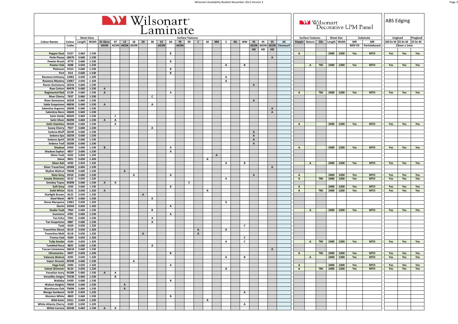|                                                   |                     |                |                    |                |                           |              |              | Wilsonart <sup>®</sup> |              | Laminate          |              |                   |                         |                   |              |              |                           |           |              |                             |    |                |                |              | Wilsonart               |            |                   |                   | Decorative LPM Panel |                            | <b>ABS Edging</b>  |            |          |
|---------------------------------------------------|---------------------|----------------|--------------------|----------------|---------------------------|--------------|--------------|------------------------|--------------|-------------------|--------------|-------------------|-------------------------|-------------------|--------------|--------------|---------------------------|-----------|--------------|-----------------------------|----|----------------|----------------|--------------|-------------------------|------------|-------------------|-------------------|----------------------|----------------------------|--------------------|------------|----------|
|                                                   |                     |                | <b>Sheet Sizes</b> |                |                           |              |              |                        |              |                   |              |                   | <b>Surface Textures</b> |                   |              |              |                           |           |              |                             |    |                |                |              | <b>Surface Textures</b> |            |                   | <b>Sheet Size</b> |                      | Substrate                  | Unglued            |            | Preglued |
| <b>Colour Names</b>                               | Colour<br>Codes     | Length         | Width              | 01 Gloss       | 07<br>AEON AEON AEON AEON | 12           | 18           | 20                     | 38           | 52<br><b>AEON</b> | 60           | 78<br><b>AEON</b> | 90                      | $\mathbf{c}$      | M            | <b>NM</b>    | s.                        | <b>WL</b> | WM           | 35<br><b>AEON AEON AEON</b> | 45 | 55             | 60<br>Chemsurf |              | Stipple Natura          | Glis       |                   | Length Width      | MR<br><b>MDF EO</b>  | <b>MR</b><br>Particleboard | 100 lin M 25 lin M | 23mm x 1mm | 25 lin M |
|                                                   |                     |                |                    |                |                           |              |              |                        |              |                   |              |                   |                         |                   |              |              |                           |           |              | HD                          | HD | HD             |                |              |                         |            |                   |                   |                      |                            |                    |            |          |
| <b>Pepper Dust</b>                                | D327                | 3.660          | 1.530              |                |                           |              |              |                        |              |                   | В            |                   |                         |                   |              |              |                           |           |              |                             |    |                |                | $\,$ A       |                         |            | 2400 1200         |                   | Yes                  | <b>MTO</b>                 | Yes                | Yes        | Yes      |
| Perla Piazza                                      | 1867K               | 3.660          | 1.530              |                |                           |              |              |                        |              |                   |              |                   |                         |                   |              |              |                           |           |              |                             |    | A              |                |              |                         |            |                   |                   |                      |                            |                    |            |          |
| <b>Pewter Brush</b><br><b>Pewter Oak</b>          | 4779<br>4288        | 3.660<br>3.650 | 1.530<br>1.220     |                |                           |              |              |                        |              |                   | В            |                   |                         |                   |              |              | A                         |           | в            |                             |    |                |                |              | A                       | <b>TBC</b> | 2400 1200         |                   | Yes                  | <b>MTO</b>                 | Yes                |            | Yes      |
| Platinum                                          | D315                | 3.660          | 1.530              |                |                           |              |              |                        |              |                   | в            |                   |                         |                   |              |              |                           |           |              |                             |    |                |                |              |                         |            |                   |                   |                      |                            |                    | Yes        |          |
| Port                                              | <b>D14</b>          | 3.660          | 1.530              |                |                           |              |              |                        |              |                   | В            |                   |                         |                   |              |              |                           |           |              |                             |    |                |                |              |                         |            |                   |                   |                      |                            |                    |            |          |
| Raveena Intimacy                                  | 13065               | 3.650          | 1.320              |                |                           |              |              |                        |              |                   |              |                   |                         |                   |              |              | A                         |           |              |                             |    |                |                |              |                         |            |                   |                   |                      |                            |                    |            |          |
| Raveena Mystery                                   | 13067               | 3.650          | 1.320              |                |                           |              |              |                        |              |                   |              |                   |                         |                   |              |              | $\boldsymbol{\mathsf{A}}$ |           |              |                             |    |                |                |              |                         |            |                   |                   |                      |                            |                    |            |          |
| <b>Raven Gemstone</b><br><b>Raw Cotton</b>        | 1831K<br>4947K      | 3.660<br>3.660 | 1.530<br>1.530     | $\mathbf{A}$   |                           |              |              |                        |              |                   |              |                   |                         |                   |              |              |                           |           |              | $\mathbf{A}$                |    |                |                |              |                         |            |                   |                   |                      |                            |                    |            |          |
| <b>Regimental Red</b>                             | <b>D12K</b>         | 3.660          | 1.530              | $\,$ A         |                           |              |              |                        |              |                   | А            |                   |                         |                   |              |              |                           |           |              |                             |    |                |                | $\mathbf{A}$ |                         | <b>TBC</b> | 2400              | 1200              | Yes                  | <b>MTO</b>                 | Yes                | Yes        | Yes      |
| <b>River Cherry</b>                               | 7937                | 3.660          | 1.530              |                |                           |              |              |                        | c            |                   |              |                   |                         |                   |              |              |                           |           |              |                             |    |                |                |              |                         |            |                   |                   |                      |                            |                    |            |          |
| <b>River Gemstone</b>                             | 1832K               | 3.660          | 1.530              |                |                           |              |              |                        |              |                   |              |                   |                         |                   |              |              |                           |           |              | $\mathbf{A}$                |    |                |                |              |                         |            |                   |                   |                      |                            |                    |            |          |
| <b>Sable Soapstone</b><br>Salentina Argento       | 4883K<br>1869K      | 3.660<br>3.660 | 1.530<br>1.530     | $\overline{A}$ |                           |              |              |                        | $\mathbf{A}$ |                   |              |                   |                         |                   |              |              |                           |           |              |                             |    | A              |                |              |                         |            |                   |                   |                      |                            |                    |            |          |
| Salentina Nero                                    | 1864K               | 3.660          | 1.530              |                |                           |              |              |                        |              |                   |              |                   |                         |                   |              |              |                           |           |              |                             |    | $\mathbf{A}$   |                |              |                         |            |                   |                   |                      |                            |                    |            |          |
| <b>Satin Oxide</b>                                | 4832K               | 3.660          | 1.530              |                | c                         |              |              |                        |              |                   |              |                   |                         |                   |              |              |                           |           |              |                             |    |                |                |              |                         |            |                   |                   |                      |                            |                    |            |          |
| <b>Satin Silver</b>                               | 4829K               | 3.660          | 1.530              | $\overline{A}$ | $\mathbf{A}$              |              |              |                        |              |                   |              |                   |                         |                   |              |              |                           |           |              |                             |    |                |                |              |                         |            |                   |                   |                      |                            |                    |            |          |
| <b>Satin Stainless</b>                            | 4830K               | 3.660          | 1.530              |                | A                         |              |              |                        |              |                   |              |                   |                         |                   |              |              |                           |           |              |                             |    |                |                | $\mathbf{A}$ |                         |            | 2400 1200         |                   | Yes                  | <b>MTO</b>                 | Yes                | Yes        | Yes      |
| <b>Savoy Cherry</b><br>Sedona Bluff               | 7927<br>1824K       | 3.660<br>3.660 | 1.530<br>1.530     |                |                           |              |              |                        | A            |                   |              |                   |                         |                   |              |              |                           |           |              | A                           |    |                |                |              |                         |            |                   |                   |                      |                            |                    |            |          |
| Sedona Spa                                        | 1825K               | 3.660          | 1.530              |                |                           |              |              |                        |              |                   |              |                   |                         |                   |              |              |                           |           |              | $\mathbf{A}$                |    |                |                |              |                         |            |                   |                   |                      |                            |                    |            |          |
| Sedona Spirit                                     | 1823K               | 3.660          | 1.530              |                |                           |              |              |                        |              |                   |              |                   |                         |                   |              |              |                           |           |              | $\, {\bf A}$                |    |                |                |              |                         |            |                   |                   |                      |                            |                    |            |          |
| Sedona Trail                                      | 1826K               | 3.660          | 1.530              |                |                           |              |              |                        |              |                   |              |                   |                         |                   |              |              |                           |           |              | $\mathbf{A}$                |    |                |                |              |                         |            |                   |                   |                      |                            |                    |            |          |
| Shadow                                            | <b>D96K</b><br>4857 | 3.660<br>3.660 | 1.530<br>1.530     | B              |                           |              |              |                        |              |                   | А<br>A       |                   |                         |                   |              |              |                           |           |              |                             |    |                |                | $\mathbf{A}$ |                         |            | 2400 1200         |                   | Yes                  | <b>MTO</b>                 | Yes                | Yes        | Yes      |
| <b>Shadow Zephyr</b><br><b>Shine Teak</b>         | 4102                | 3.650          | 1.220              |                |                           |              |              |                        |              |                   |              |                   |                         |                   |              | $\mathbf{A}$ |                           |           |              |                             |    |                |                |              |                         |            |                   |                   |                      |                            |                    |            |          |
| Siena                                             | 9451                | 3.650          | 1.320              |                |                           |              |              |                        |              |                   |              |                   |                         |                   | A            |              |                           |           |              |                             |    |                |                |              |                         |            |                   |                   |                      |                            |                    |            |          |
| <b>Silver Ash</b>                                 | 4290                | 3.650          | 1.320              |                |                           |              |              |                        |              |                   |              |                   |                         |                   |              |              | A                         |           | В            |                             |    |                |                |              | A                       |            | 2400 1200         |                   | Yes                  | <b>MTO</b>                 | Yes                | Yes        | Yes      |
| <b>Silver Travertine</b>                          | 1858K<br>7964K      | 3.660<br>3.660 | 1.530<br>1.530     |                |                           | $\mathbf{A}$ |              |                        |              |                   |              |                   |                         |                   |              |              |                           |           |              |                             |    | $\overline{A}$ |                |              |                         |            |                   |                   |                      |                            |                    |            |          |
| <b>Skyline Walnut</b><br><b>Slate Grey</b>        | <b>D91K</b>         | 3.660          | 1.530              |                |                           |              | A            |                        |              |                   | А            |                   |                         |                   |              |              |                           |           |              | $\mathbf{A}$                |    |                |                | $\mathbf{A}$ |                         |            | 2400              | 1200              | Yes                  | <b>MTO</b>                 | Yes                | Yes        | Yes      |
| <b>Smoke Shimmer</b>                              | 8132                | 3.650          | 1.220              |                |                           |              |              |                        |              |                   |              |                   |                         |                   |              |              | $\overline{A}$            |           |              |                             |    |                |                | $\mathbf{A}$ |                         | <b>TBC</b> | 2400              | 1200              | Yes                  | <b>MTO</b>                 | Yes                | Yes        | Yes      |
| <b>Smokey Topaz</b>                               | 4589K               | 3.660          | 1.530              | $\overline{A}$ | A                         |              |              |                        |              |                   |              |                   | c                       |                   |              |              |                           |           |              |                             |    |                |                |              |                         |            |                   |                   |                      |                            |                    |            |          |
| <b>Soft Grey</b>                                  | 1500                | 3.660          | 1.530<br>1.320     |                |                           |              |              |                        |              |                   | В            |                   |                         |                   |              |              |                           |           |              |                             |    |                |                | $\mathbf{A}$ |                         | <b>TBC</b> | 2400 1200<br>2400 |                   | Yes                  | <b>MTO</b><br><b>MTO</b>   | Yes                | Yes        | Yes      |
| <b>Solid White</b><br><b>Starlight Brown</b>      | 0131<br>8122        | 3.650<br>3.650 | 1.320              | $\mathbf{A}$   |                           |              |              | A                      |              |                   |              |                   |                         |                   | A            |              |                           |           |              |                             |    |                |                | $\mathbf{A}$ |                         |            |                   | 1200              | Yes                  |                            | Yes                | Yes        | Yes      |
| <b>Steel Mesh</b>                                 | 4879                | 3.660          | 1.530              |                |                           |              |              |                        | $\mathbf{A}$ |                   |              |                   |                         |                   |              |              |                           |           |              |                             |    |                |                |              |                         |            |                   |                   |                      |                            |                    |            |          |
| <b>Stone Marquina</b>                             | 13061               | 3.650          | 1.320              |                |                           |              |              |                        |              |                   |              |                   |                         |                   |              |              | A                         |           |              |                             |    |                |                |              |                         |            |                   |                   |                      |                            |                    |            |          |
| Storm                                             | 10542               | 3.650          | 1.320              |                |                           |              |              |                        |              |                   | A            |                   |                         |                   |              |              |                           |           |              |                             |    |                |                |              |                         |            |                   |                   |                      |                            |                    |            |          |
| <b>Studio Teak</b><br>Sunstone                    | 7960<br>4781        | 3.660<br>3.660 | 1.530<br>1.530     |                |                           |              |              |                        | в            |                   | А            |                   |                         |                   |              |              |                           |           |              |                             |    |                |                |              | A                       |            | 2400              | 1200              | Yes                  | <b>MTO</b>                 | Yes                | Yes        | Yes      |
| <b>Tan Echo</b>                                   | 7941                | 3.660          | 1.530              |                |                           |              |              |                        | A            |                   |              |                   |                         |                   |              |              |                           |           |              |                             |    |                |                |              |                         |            |                   |                   |                      |                            |                    |            |          |
| <b>Tan Soapstone</b>                              | 4887                | 3.660          | 1.530              |                |                           |              |              |                        | А            |                   |              |                   |                         |                   |              |              |                           |           |              |                             |    |                |                |              |                         |            |                   |                   |                      |                            |                    |            |          |
| Teak                                              | 4104                | 3.650          | 1.320              |                |                           |              |              |                        |              |                   |              |                   |                         |                   |              |              |                           |           | C            |                             |    |                |                |              |                         |            |                   |                   |                      |                            |                    |            |          |
| <b>Travertine Ghost</b><br><b>Travertine Malt</b> | 8119<br>8118        | 3.650<br>3.650 | 1.320<br>1.320     |                |                           |              |              | A                      |              |                   |              |                   |                         | A<br>$\mathbf{A}$ |              |              | A                         |           |              |                             |    |                |                |              |                         |            |                   |                   |                      |                            |                    |            |          |
| <b>Treviso Oak</b>                                | 4284                | 3.650          | 1.320              |                |                           |              |              |                        |              |                   |              |                   |                         |                   |              |              |                           |           | c            |                             |    |                |                |              |                         |            |                   |                   |                      |                            |                    |            |          |
| <b>Tulip Smoke</b>                                | 4184                | 3.650          | 1.320              |                |                           |              |              |                        |              |                   |              |                   |                         |                   |              |              | A                         |           | c            |                             |    |                |                |              | A                       | <b>TBC</b> | 2400 1200         |                   | Yes                  | <b>MTO</b>                 | Yes                | Yes        | Yes      |
| <b>Tumbled Roca</b>                               | 4835                | 3.660          | 1.530              |                |                           |              |              |                        | A            |                   |              |                   |                         |                   |              |              |                           |           |              |                             |    |                |                |              |                         |            |                   |                   |                      |                            |                    |            |          |
| <b>Tuscan Limestone</b><br><b>Ultramarine</b>     | 1861K<br>9497       | 3.660<br>3.650 | 1.530<br>1.320     |                |                           |              |              |                        |              |                   | В            |                   |                         |                   |              |              |                           |           |              |                             |    | $\mathbf{A}$   |                |              |                         | TBC        | 2400 1200         |                   | Yes                  | <b>MTO</b>                 | Yes                | Yes        | Yes      |
| Valencia Walnut 4295 3.650 1.320                  |                     |                |                    |                |                           |              |              |                        |              |                   |              |                   |                         |                   |              |              | $\mathbf{A}$              |           | в            |                             |    |                |                | $\mathbf{A}$ | A                       |            | 2400 1200         |                   | Yes                  | <b>MTO</b>                 | Yes                | Yes        | Yes      |
| Vapor Strandz 4939K 3.660                         |                     |                | 1.530              |                |                           |              | $\mathbf{A}$ |                        |              |                   |              |                   |                         |                   |              |              |                           |           |              |                             |    |                |                |              |                         |            |                   |                   |                      |                            |                    |            |          |
| Vega Feel 2490                                    |                     | 3.650          | 1.320              |                |                           |              |              |                        |              |                   | $\mathbf{A}$ |                   |                         |                   |              |              |                           |           |              |                             |    |                |                | $\mathbf{A}$ |                         |            | 2400 1200         |                   | Yes                  | <b>MTO</b>                 | Yes                | Yes        | Yes      |
| Velvet Shimmer<br>Venetian Ivory 4928K            | 8134                | 3.650<br>3.660 | 1.220<br>1.530     |                |                           |              |              |                        |              |                   |              |                   |                         |                   |              |              | $\mathbf{A}$              |           |              |                             |    |                |                | $\mathbf{A}$ |                         |            | TBC 2400 1200     |                   | Yes                  | <b>MTO</b>                 | Yes                | Yes        | Yes      |
| Versailles Anigre 7923K 3.660                     |                     |                | 1.530              | $\overline{A}$ | A<br>в                    |              |              |                        |              |                   |              |                   |                         |                   |              |              |                           |           |              |                             |    |                |                |              |                         |            |                   |                   |                      |                            |                    |            |          |
| Wallaby D439 3.660                                |                     |                | 1.530              |                |                           |              |              |                        |              |                   | $\mathbf{B}$ |                   |                         |                   |              |              |                           |           |              |                             |    |                |                |              |                         |            |                   |                   |                      |                            |                    |            |          |
| Walnut Heights 7965K                              |                     | 3.660          | 1.530              |                |                           | $\mathbf{A}$ |              |                        |              |                   |              |                   |                         |                   |              |              |                           |           |              |                             |    |                |                |              |                         |            |                   |                   |                      |                            |                    |            |          |
| Warehouse Oak 7969K                               |                     | 3.660          | 1.530<br>1.220     |                |                           | $\mathbf{A}$ |              |                        |              |                   |              |                   |                         |                   |              |              |                           |           |              |                             |    |                |                |              |                         |            |                   |                   |                      |                            |                    |            |          |
| Wenge Sambessi 4139<br><b>Western White</b>       | 4869                | 3.650<br>3.660 | 1.530              |                |                           |              |              |                        |              |                   | B            |                   |                         |                   |              |              |                           |           | A            |                             |    |                |                |              |                         |            |                   |                   |                      |                            |                    |            |          |
| Wild Aster D411 3.650                             |                     |                | 1.220              |                |                           |              |              |                        |              |                   |              |                   |                         |                   | $\mathbf{A}$ |              |                           |           |              |                             |    |                |                |              |                         |            |                   |                   |                      |                            |                    |            |          |
| White Atlanta Cherry 4189 3.650                   |                     |                | 1.220              |                |                           |              |              |                        |              |                   |              |                   |                         |                   |              |              |                           |           | $\mathbf{A}$ |                             |    |                |                |              |                         |            |                   |                   |                      |                            |                    |            |          |
| White Carrara 4924K 3.660 1.530                   |                     |                |                    | AAA            |                           |              |              |                        |              |                   |              |                   |                         |                   |              |              |                           |           |              |                             |    |                |                |              |                         |            |                   |                   |                      |                            |                    |            |          |